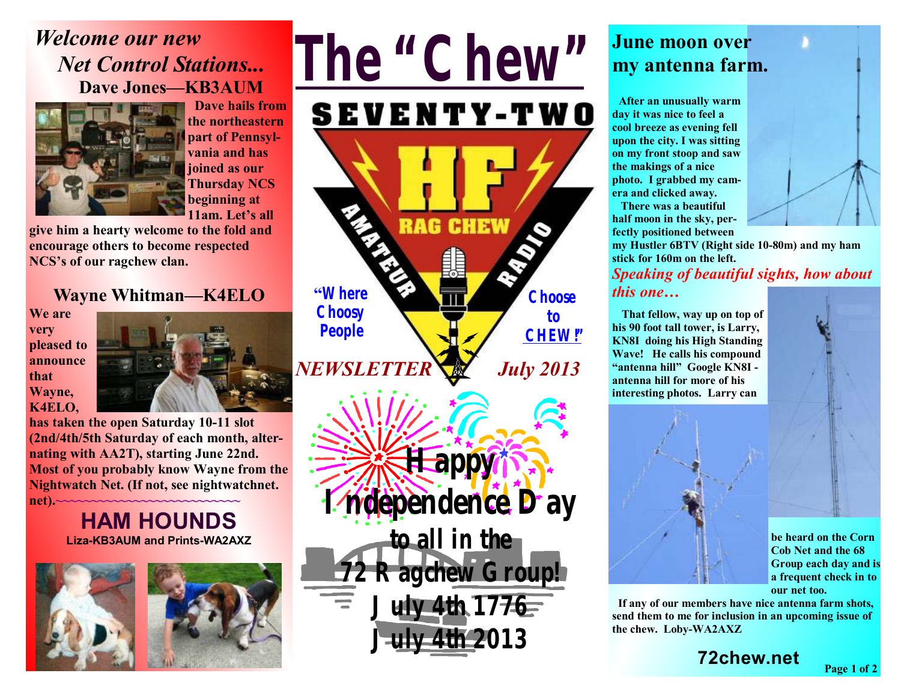# *Welcome our new Net Control Stations...* **Dave Jones—KB3AUM**



 **Dave hails from the northeastern part of Pennsylvania and has joined as our Thursday NCS beginning at 11am. Let's all** 

**give him a hearty welcome to the fold and encourage others to become respected NCS's of our ragchew clan.** 

#### **Wayne Whitman—K4ELO**

**We are very pleased to announce that Wayne, K4ELO,** 



**has taken the open Saturday 10-11 slot (2nd/4th/5th Saturday of each month, alternating with AA2T), starting June 22nd. Most of you probably know Wayne from the Nightwatch Net. (If not, see nightwatchnet. net).~~~~~~~~~~~~~~~~~~~~~~~~~~**

#### **HAM HOUNDS Liza-KB3AUM and Prints-WA2AXZ**







### **June moon over my antenna farm.**

 **After an unusually warm day it was nice to feel a cool breeze as evening fell upon the city. I was sitting on my front stoop and saw the makings of a nice photo. I grabbed my camera and clicked away.** 

**There was a beautiful half moon in the sky, perfectly positioned between** 



**my Hustler 6BTV (Right side 10-80m) and my ham stick for 160m on the left.**  *Speaking of beautiful sights, how about* 

#### *this one…*

 **That fellow, way up on top of his 90 foot tall tower, is Larry, KN8I doing his High Standing Wave! He calls his compound "antenna hill" Google KN8I antenna hill for more of his interesting photos. Larry can** 





**be heard on the Corn Cob Net and the 68 Group each day and is a frequent check in to our net too.** 

**Page 1 of 2**

 **If any of our members have nice antenna farm shots, send them to me for inclusion in an upcoming issue of the chew. Loby-WA2AXZ**

**72chew.net**